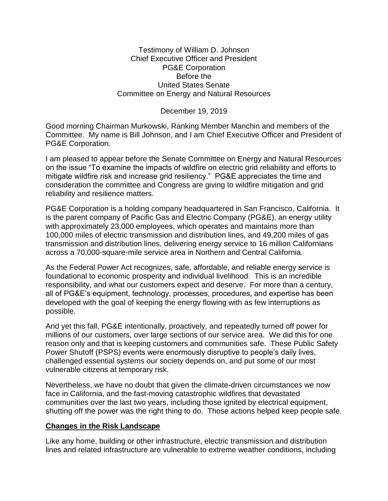Testimony of William D. Johnson Chief Executive Officer and President PG&E Corporation Before the United States Senate Committee on Energy and Natural Resources

December 19, 2019

Good morning Chairman Murkowski, Ranking Member Manchin and members of the Committee. My name is Bill Johnson, and I am Chief Executive Officer and President of PG&E Corporation.

I am pleased to appear before the Senate Committee on Energy and Natural Resources on the issue "To examine the impacts of wildfire on electric grid reliability and efforts to mitigate wildfire risk and increase grid resiliency." PG&E appreciates the time and consideration the committee and Congress are giving to wildfire mitigation and grid reliability and resilience matters.

PG&E Corporation is a holding company headquartered in San Francisco, California. It is the parent company of Pacific Gas and Electric Company (PG&E), an energy utility with approximately 23,000 employees, which operates and maintains more than 100,000 miles of electric transmission and distribution lines, and 49,200 miles of gas transmission and distribution lines, delivering energy service to 16 million Californians across a 70,000-square-mile service area in Northern and Central California.

As the Federal Power Act recognizes, safe, affordable, and reliable energy service is foundational to economic prosperity and individual livelihood. This is an incredible responsibility, and what our customers expect and deserve. For more than a century, all of PG&E's equipment, technology, processes, procedures, and expertise has been developed with the goal of keeping the energy flowing with as few interruptions as possible.

And yet this fall, PG&E intentionally, proactively, and repeatedly turned off power for millions of our customers, over large sections of our service area. We did this for one reason only and that is keeping customers and communities safe. These Public Safety Power Shutoff (PSPS) events were enormously disruptive to people's daily lives, challenged essential systems our society depends on, and put some of our most vulnerable citizens at temporary risk.

Nevertheless, we have no doubt that given the climate-driven circumstances we now face in California, and the fast-moving catastrophic wildfires that devastated communities over the last two years, including those ignited by electrical equipment, shutting off the power was the right thing to do. Those actions helped keep people safe.

## **Changes in the Risk Landscape**

Like any home, building or other infrastructure, electric transmission and distribution lines and related infrastructure are vulnerable to extreme weather conditions, including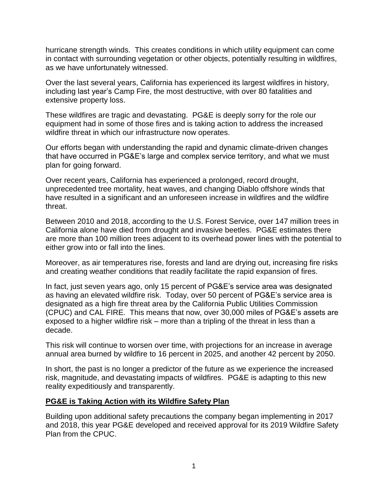hurricane strength winds. This creates conditions in which utility equipment can come in contact with surrounding vegetation or other objects, potentially resulting in wildfires, as we have unfortunately witnessed.

Over the last several years, California has experienced its largest wildfires in history, including last year's Camp Fire, the most destructive, with over 80 fatalities and extensive property loss.

These wildfires are tragic and devastating. PG&E is deeply sorry for the role our equipment had in some of those fires and is taking action to address the increased wildfire threat in which our infrastructure now operates.

Our efforts began with understanding the rapid and dynamic climate-driven changes that have occurred in PG&E's large and complex service territory, and what we must plan for going forward.

Over recent years, California has experienced a prolonged, record drought, unprecedented tree mortality, heat waves, and changing Diablo offshore winds that have resulted in a significant and an unforeseen increase in wildfires and the wildfire threat.

Between 2010 and 2018, according to the U.S. Forest Service, over 147 million trees in California alone have died from drought and invasive beetles. PG&E estimates there are more than 100 million trees adjacent to its overhead power lines with the potential to either grow into or fall into the lines.

Moreover, as air temperatures rise, forests and land are drying out, increasing fire risks and creating weather conditions that readily facilitate the rapid expansion of fires.

In fact, just seven years ago, only 15 percent of PG&E's service area was designated as having an elevated wildfire risk. Today, over 50 percent of PG&E's service area is designated as a high fire threat area by the California Public Utilities Commission (CPUC) and CAL FIRE. This means that now, over 30,000 miles of PG&E's assets are exposed to a higher wildfire risk – more than a tripling of the threat in less than a decade.

This risk will continue to worsen over time, with projections for an increase in average annual area burned by wildfire to 16 percent in 2025, and another 42 percent by 2050.

In short, the past is no longer a predictor of the future as we experience the increased risk, magnitude, and devastating impacts of wildfires. PG&E is adapting to this new reality expeditiously and transparently.

## **PG&E is Taking Action with its Wildfire Safety Plan**

Building upon additional safety precautions the company began implementing in 2017 and 2018, this year PG&E developed and received approval for its 2019 Wildfire Safety Plan from the CPUC.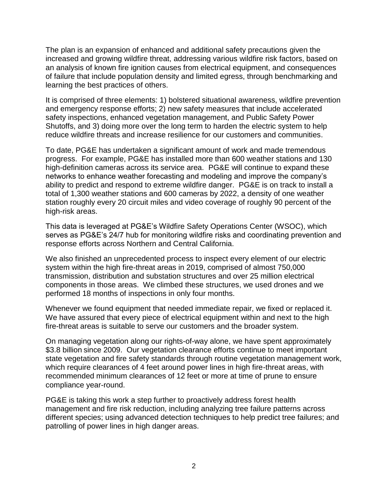The plan is an expansion of enhanced and additional safety precautions given the increased and growing wildfire threat, addressing various wildfire risk factors, based on an analysis of known fire ignition causes from electrical equipment, and consequences of failure that include population density and limited egress, through benchmarking and learning the best practices of others.

It is comprised of three elements: 1) bolstered situational awareness, wildfire prevention and emergency response efforts; 2) new safety measures that include accelerated safety inspections, enhanced vegetation management, and Public Safety Power Shutoffs, and 3) doing more over the long term to harden the electric system to help reduce wildfire threats and increase resilience for our customers and communities.

To date, PG&E has undertaken a significant amount of work and made tremendous progress. For example, PG&E has installed more than 600 weather stations and 130 high-definition cameras across its service area. PG&E will continue to expand these networks to enhance weather forecasting and modeling and improve the company's ability to predict and respond to extreme wildfire danger. PG&E is on track to install a total of 1,300 weather stations and 600 cameras by 2022, a density of one weather station roughly every 20 circuit miles and video coverage of roughly 90 percent of the high-risk areas.

This data is leveraged at PG&E's Wildfire Safety Operations Center (WSOC), which serves as PG&E's 24/7 hub for monitoring wildfire risks and coordinating prevention and response efforts across Northern and Central California.

We also finished an unprecedented process to inspect every element of our electric system within the high fire-threat areas in 2019, comprised of almost 750,000 transmission, distribution and substation structures and over 25 million electrical components in those areas. We climbed these structures, we used drones and we performed 18 months of inspections in only four months.

Whenever we found equipment that needed immediate repair, we fixed or replaced it. We have assured that every piece of electrical equipment within and next to the high fire-threat areas is suitable to serve our customers and the broader system.

On managing vegetation along our rights-of-way alone, we have spent approximately \$3.8 billion since 2009. Our vegetation clearance efforts continue to meet important state vegetation and fire safety standards through routine vegetation management work, which require clearances of 4 feet around power lines in high fire-threat areas, with recommended minimum clearances of 12 feet or more at time of prune to ensure compliance year-round.

PG&E is taking this work a step further to proactively address forest health management and fire risk reduction, including analyzing tree failure patterns across different species; using advanced detection techniques to help predict tree failures; and patrolling of power lines in high danger areas.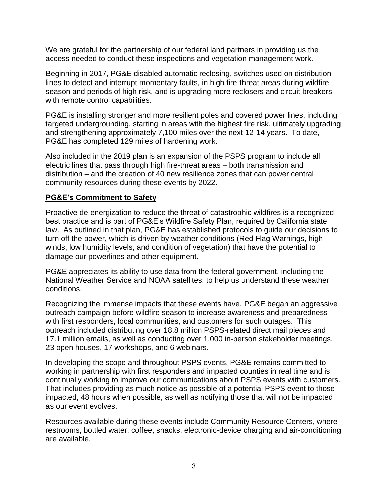We are grateful for the partnership of our federal land partners in providing us the access needed to conduct these inspections and vegetation management work.

Beginning in 2017, PG&E disabled automatic reclosing, switches used on distribution lines to detect and interrupt momentary faults, in high fire-threat areas during wildfire season and periods of high risk, and is upgrading more reclosers and circuit breakers with remote control capabilities.

PG&E is installing stronger and more resilient poles and covered power lines, including targeted undergrounding, starting in areas with the highest fire risk, ultimately upgrading and strengthening approximately 7,100 miles over the next 12-14 years. To date, PG&E has completed 129 miles of hardening work.

Also included in the 2019 plan is an expansion of the PSPS program to include all electric lines that pass through high fire-threat areas – both transmission and distribution – and the creation of 40 new resilience zones that can power central community resources during these events by 2022.

# **PG&E's Commitment to Safety**

Proactive de-energization to reduce the threat of catastrophic wildfires is a recognized best practice and is part of PG&E's Wildfire Safety Plan, required by California state law. As outlined in that plan, PG&E has established protocols to guide our decisions to turn off the power, which is driven by weather conditions (Red Flag Warnings, high winds, low humidity levels, and condition of vegetation) that have the potential to damage our powerlines and other equipment.

PG&E appreciates its ability to use data from the federal government, including the National Weather Service and NOAA satellites, to help us understand these weather conditions.

Recognizing the immense impacts that these events have, PG&E began an aggressive outreach campaign before wildfire season to increase awareness and preparedness with first responders, local communities, and customers for such outages. This outreach included distributing over 18.8 million PSPS-related direct mail pieces and 17.1 million emails, as well as conducting over 1,000 in-person stakeholder meetings, 23 open houses, 17 workshops, and 6 webinars.

In developing the scope and throughout PSPS events, PG&E remains committed to working in partnership with first responders and impacted counties in real time and is continually working to improve our communications about PSPS events with customers. That includes providing as much notice as possible of a potential PSPS event to those impacted, 48 hours when possible, as well as notifying those that will not be impacted as our event evolves.

Resources available during these events include Community Resource Centers, where restrooms, bottled water, coffee, snacks, electronic-device charging and air-conditioning are available.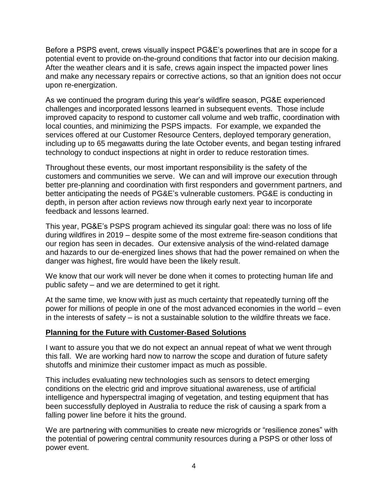Before a PSPS event, crews visually inspect PG&E's powerlines that are in scope for a potential event to provide on-the-ground conditions that factor into our decision making. After the weather clears and it is safe, crews again inspect the impacted power lines and make any necessary repairs or corrective actions, so that an ignition does not occur upon re-energization.

As we continued the program during this year's wildfire season, PG&E experienced challenges and incorporated lessons learned in subsequent events. Those include improved capacity to respond to customer call volume and web traffic, coordination with local counties, and minimizing the PSPS impacts. For example, we expanded the services offered at our Customer Resource Centers, deployed temporary generation, including up to 65 megawatts during the late October events, and began testing infrared technology to conduct inspections at night in order to reduce restoration times.

Throughout these events, our most important responsibility is the safety of the customers and communities we serve. We can and will improve our execution through better pre-planning and coordination with first responders and government partners, and better anticipating the needs of PG&E's vulnerable customers. PG&E is conducting in depth, in person after action reviews now through early next year to incorporate feedback and lessons learned.

This year, PG&E's PSPS program achieved its singular goal: there was no loss of life during wildfires in 2019 – despite some of the most extreme fire-season conditions that our region has seen in decades. Our extensive analysis of the wind-related damage and hazards to our de-energized lines shows that had the power remained on when the danger was highest, fire would have been the likely result.

We know that our work will never be done when it comes to protecting human life and public safety – and we are determined to get it right.

At the same time, we know with just as much certainty that repeatedly turning off the power for millions of people in one of the most advanced economies in the world – even in the interests of safety – is not a sustainable solution to the wildfire threats we face.

## **Planning for the Future with Customer-Based Solutions**

I want to assure you that we do not expect an annual repeat of what we went through this fall. We are working hard now to narrow the scope and duration of future safety shutoffs and minimize their customer impact as much as possible.

This includes evaluating new technologies such as sensors to detect emerging conditions on the electric grid and improve situational awareness, use of artificial intelligence and hyperspectral imaging of vegetation, and testing equipment that has been successfully deployed in Australia to reduce the risk of causing a spark from a falling power line before it hits the ground.

We are partnering with communities to create new microgrids or "resilience zones" with the potential of powering central community resources during a PSPS or other loss of power event.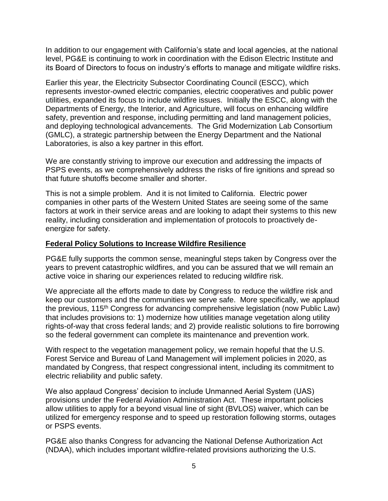In addition to our engagement with California's state and local agencies, at the national level, PG&E is continuing to work in coordination with the Edison Electric Institute and its Board of Directors to focus on industry's efforts to manage and mitigate wildfire risks.

Earlier this year, the Electricity Subsector Coordinating Council (ESCC), which represents investor-owned electric companies, electric cooperatives and public power utilities, expanded its focus to include wildfire issues. Initially the ESCC, along with the Departments of Energy, the Interior, and Agriculture, will focus on enhancing wildfire safety, prevention and response, including permitting and land management policies, and deploying technological advancements. The Grid Modernization Lab Consortium (GMLC), a strategic partnership between the Energy Department and the National Laboratories, is also a key partner in this effort.

We are constantly striving to improve our execution and addressing the impacts of PSPS events, as we comprehensively address the risks of fire ignitions and spread so that future shutoffs become smaller and shorter.

This is not a simple problem. And it is not limited to California. Electric power companies in other parts of the Western United States are seeing some of the same factors at work in their service areas and are looking to adapt their systems to this new reality, including consideration and implementation of protocols to proactively deenergize for safety.

## **Federal Policy Solutions to Increase Wildfire Resilience**

PG&E fully supports the common sense, meaningful steps taken by Congress over the years to prevent catastrophic wildfires, and you can be assured that we will remain an active voice in sharing our experiences related to reducing wildfire risk.

We appreciate all the efforts made to date by Congress to reduce the wildfire risk and keep our customers and the communities we serve safe. More specifically, we applaud the previous, 115th Congress for advancing comprehensive legislation (now Public Law) that includes provisions to: 1) modernize how utilities manage vegetation along utility rights-of-way that cross federal lands; and 2) provide realistic solutions to fire borrowing so the federal government can complete its maintenance and prevention work.

With respect to the vegetation management policy, we remain hopeful that the U.S. Forest Service and Bureau of Land Management will implement policies in 2020, as mandated by Congress, that respect congressional intent, including its commitment to electric reliability and public safety.

We also applaud Congress' decision to include Unmanned Aerial System (UAS) provisions under the Federal Aviation Administration Act. These important policies allow utilities to apply for a beyond visual line of sight (BVLOS) waiver, which can be utilized for emergency response and to speed up restoration following storms, outages or PSPS events.

PG&E also thanks Congress for advancing the National Defense Authorization Act (NDAA), which includes important wildfire-related provisions authorizing the U.S.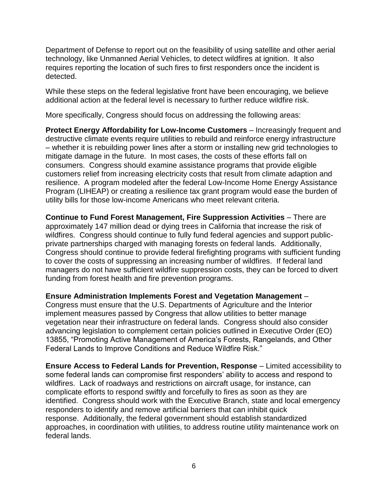Department of Defense to report out on the feasibility of using satellite and other aerial technology, like Unmanned Aerial Vehicles, to detect wildfires at ignition. It also requires reporting the location of such fires to first responders once the incident is detected.

While these steps on the federal legislative front have been encouraging, we believe additional action at the federal level is necessary to further reduce wildfire risk.

More specifically, Congress should focus on addressing the following areas:

**Protect Energy Affordability for Low-Income Customers** – Increasingly frequent and destructive climate events require utilities to rebuild and reinforce energy infrastructure – whether it is rebuilding power lines after a storm or installing new grid technologies to mitigate damage in the future. In most cases, the costs of these efforts fall on consumers. Congress should examine assistance programs that provide eligible customers relief from increasing electricity costs that result from climate adaption and resilience. A program modeled after the federal Low-Income Home Energy Assistance Program (LIHEAP) or creating a resilience tax grant program would ease the burden of utility bills for those low-income Americans who meet relevant criteria.

**Continue to Fund Forest Management, Fire Suppression Activities** – There are approximately 147 million dead or dying trees in California that increase the risk of wildfires. Congress should continue to fully fund federal agencies and support publicprivate partnerships charged with managing forests on federal lands. Additionally, Congress should continue to provide federal firefighting programs with sufficient funding to cover the costs of suppressing an increasing number of wildfires. If federal land managers do not have sufficient wildfire suppression costs, they can be forced to divert funding from forest health and fire prevention programs.

**Ensure Administration Implements Forest and Vegetation Management** –

Congress must ensure that the U.S. Departments of Agriculture and the Interior implement measures passed by Congress that allow utilities to better manage vegetation near their infrastructure on federal lands. Congress should also consider advancing legislation to complement certain policies outlined in Executive Order (EO) 13855, "Promoting Active Management of America's Forests, Rangelands, and Other Federal Lands to Improve Conditions and Reduce Wildfire Risk."

**Ensure Access to Federal Lands for Prevention, Response** – Limited accessibility to some federal lands can compromise first responders' ability to access and respond to wildfires. Lack of roadways and restrictions on aircraft usage, for instance, can complicate efforts to respond swiftly and forcefully to fires as soon as they are identified. Congress should work with the Executive Branch, state and local emergency responders to identify and remove artificial barriers that can inhibit quick response. Additionally, the federal government should establish standardized approaches, in coordination with utilities, to address routine utility maintenance work on federal lands.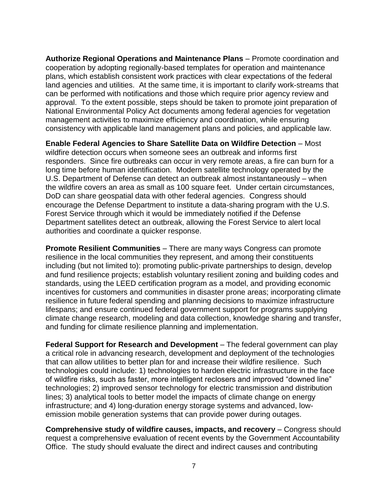**Authorize Regional Operations and Maintenance Plans** – Promote coordination and cooperation by adopting regionally-based templates for operation and maintenance plans, which establish consistent work practices with clear expectations of the federal land agencies and utilities. At the same time, it is important to clarify work-streams that can be performed with notifications and those which require prior agency review and approval. To the extent possible, steps should be taken to promote joint preparation of National Environmental Policy Act documents among federal agencies for vegetation management activities to maximize efficiency and coordination, while ensuring consistency with applicable land management plans and policies, and applicable law.

**Enable Federal Agencies to Share Satellite Data on Wildfire Detection** – Most wildfire detection occurs when someone sees an outbreak and informs first responders. Since fire outbreaks can occur in very remote areas, a fire can burn for a long time before human identification. Modern satellite technology operated by the U.S. Department of Defense can detect an outbreak almost instantaneously – when the wildfire covers an area as small as 100 square feet. Under certain circumstances, DoD can share geospatial data with other federal agencies. Congress should encourage the Defense Department to institute a data-sharing program with the U.S. Forest Service through which it would be immediately notified if the Defense Department satellites detect an outbreak, allowing the Forest Service to alert local authorities and coordinate a quicker response.

**Promote Resilient Communities** – There are many ways Congress can promote resilience in the local communities they represent, and among their constituents including (but not limited to): promoting public-private partnerships to design, develop and fund resilience projects; establish voluntary resilient zoning and building codes and standards, using the LEED certification program as a model, and providing economic incentives for customers and communities in disaster prone areas; incorporating climate resilience in future federal spending and planning decisions to maximize infrastructure lifespans; and ensure continued federal government support for programs supplying climate change research, modeling and data collection, knowledge sharing and transfer, and funding for climate resilience planning and implementation.

**Federal Support for Research and Development** – The federal government can play a critical role in advancing research, development and deployment of the technologies that can allow utilities to better plan for and increase their wildfire resilience. Such technologies could include: 1) technologies to harden electric infrastructure in the face of wildfire risks, such as faster, more intelligent reclosers and improved "downed line" technologies; 2) improved sensor technology for electric transmission and distribution lines; 3) analytical tools to better model the impacts of climate change on energy infrastructure; and 4) long-duration energy storage systems and advanced, lowemission mobile generation systems that can provide power during outages.

**Comprehensive study of wildfire causes, impacts, and recovery** – Congress should request a comprehensive evaluation of recent events by the Government Accountability Office. The study should evaluate the direct and indirect causes and contributing